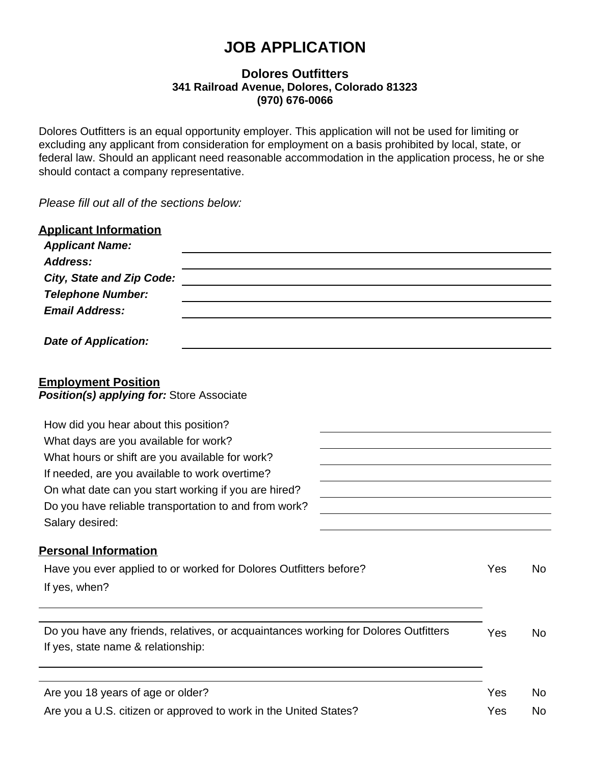# **JOB APPLICATION**

#### **Dolores Outfitters 341 Railroad Avenue, Dolores, Colorado 81323 (970) 676-0066**

Dolores Outfitters is an equal opportunity employer. This application will not be used for limiting or excluding any applicant from consideration for employment on a basis prohibited by local, state, or federal law. Should an applicant need reasonable accommodation in the application process, he or she should contact a company representative.

*Please fill out all of the sections below:*

| <b>Applicant Information</b><br><b>Applicant Name:</b>                                                                                     |     |           |  |                                                       |  |  |
|--------------------------------------------------------------------------------------------------------------------------------------------|-----|-----------|--|-------------------------------------------------------|--|--|
| <b>Address:</b>                                                                                                                            |     |           |  |                                                       |  |  |
| <b>City, State and Zip Code:</b><br><b>Telephone Number:</b>                                                                               |     |           |  |                                                       |  |  |
| <b>Email Address:</b>                                                                                                                      |     |           |  |                                                       |  |  |
| <b>Date of Application:</b>                                                                                                                |     |           |  |                                                       |  |  |
| <b>Employment Position</b><br>Position(s) applying for: Store Associate                                                                    |     |           |  |                                                       |  |  |
| How did you hear about this position?                                                                                                      |     |           |  |                                                       |  |  |
| What days are you available for work?<br>What hours or shift are you available for work?<br>If needed, are you available to work overtime? |     |           |  |                                                       |  |  |
|                                                                                                                                            |     |           |  | On what date can you start working if you are hired?  |  |  |
|                                                                                                                                            |     |           |  | Do you have reliable transportation to and from work? |  |  |
| Salary desired:                                                                                                                            |     |           |  |                                                       |  |  |
| <b>Personal Information</b>                                                                                                                |     |           |  |                                                       |  |  |
| Have you ever applied to or worked for Dolores Outfitters before?                                                                          | Yes | <b>No</b> |  |                                                       |  |  |
| If yes, when?                                                                                                                              |     |           |  |                                                       |  |  |
| Do you have any friends, relatives, or acquaintances working for Dolores Outfitters                                                        | Yes | <b>No</b> |  |                                                       |  |  |
| If yes, state name & relationship:                                                                                                         |     |           |  |                                                       |  |  |
| Are you 18 years of age or older?                                                                                                          | Yes | No.       |  |                                                       |  |  |
| Are you a U.S. citizen or approved to work in the United States?                                                                           | Yes | <b>No</b> |  |                                                       |  |  |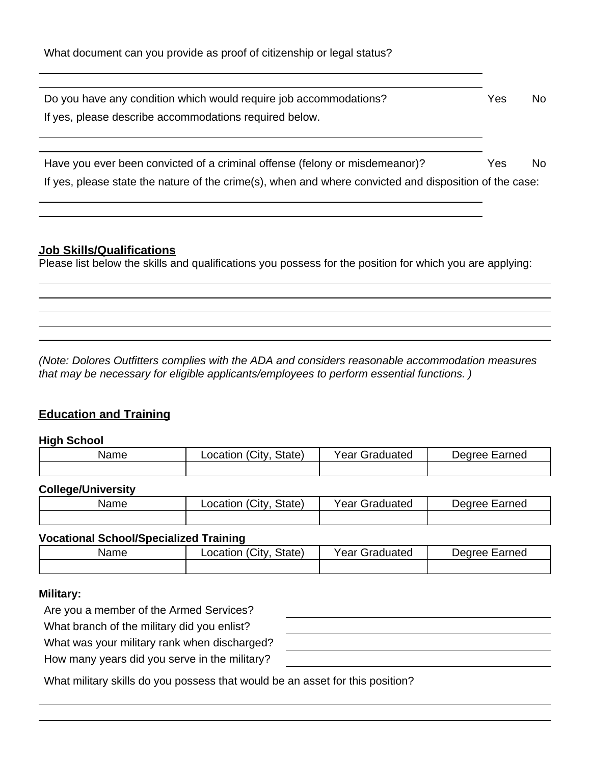| Do you have any condition which would require job accommodations?                                      | Yes | No. |
|--------------------------------------------------------------------------------------------------------|-----|-----|
| If yes, please describe accommodations required below.                                                 |     |     |
|                                                                                                        |     |     |
|                                                                                                        |     |     |
| Have you ever been convicted of a criminal offense (felony or misdemeanor)?                            | Yes | No. |
| If yes, please state the nature of the crime(s), when and where convicted and disposition of the case: |     |     |
|                                                                                                        |     |     |

### **Job Skills/Qualifications**

Please list below the skills and qualifications you possess for the position for which you are applying:

*(Note: Dolores Outfitters complies with the ADA and considers reasonable accommodation measures that may be necessary for eligible applicants/employees to perform essential functions. )*

# **Education and Training**

#### **High School**

| Name | Location (City<br>State) | Year Graduated | Earned<br>AA1NAC |
|------|--------------------------|----------------|------------------|
|      |                          |                |                  |

#### **College/University**

| Name | $^{\circ}$ City<br>State)<br>_ocation | Year<br>Juated<br>$-$<br>72 L | arned<br>Dearee<br>- 20 J |
|------|---------------------------------------|-------------------------------|---------------------------|
|      |                                       |                               |                           |

#### **Vocational School/Specialized Training**

| Name | City.<br>State)<br>∟ocation | Year v<br>Graduated | Degree<br>Earned |
|------|-----------------------------|---------------------|------------------|
|      |                             |                     |                  |

#### **Military:**

Are you a member of the Armed Services?

What branch of the military did you

What was your military rank when

How many years did you serve in

| u enlist?     |  |  |
|---------------|--|--|
| discharged?   |  |  |
| the military? |  |  |
|               |  |  |

What military skills do you possess that would be an asset for this position?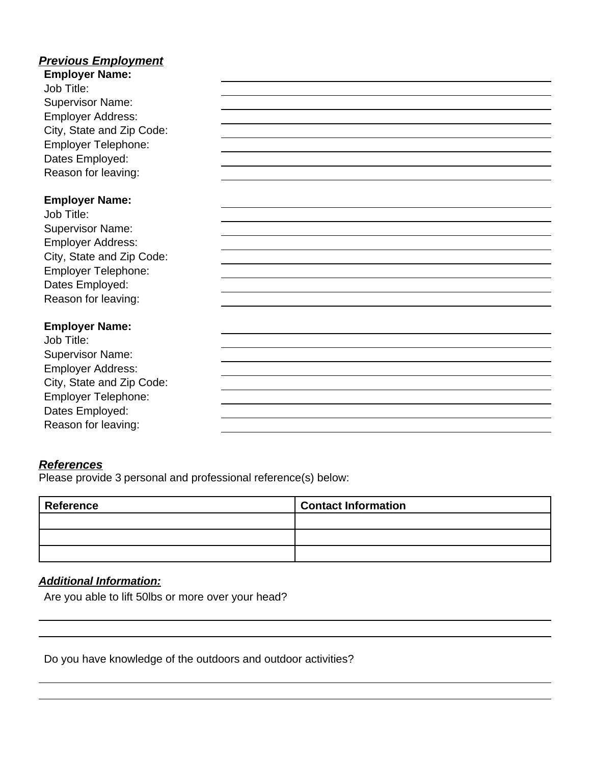# *Previous Employment*

| <b>Employer Name:</b>     |  |
|---------------------------|--|
| Job Title:                |  |
| <b>Supervisor Name:</b>   |  |
| <b>Employer Address:</b>  |  |
| City, State and Zip Code: |  |
| Employer Telephone:       |  |
| Dates Employed:           |  |
| Reason for leaving:       |  |
|                           |  |
| <b>Employer Name:</b>     |  |
| Job Title:                |  |
| <b>Supervisor Name:</b>   |  |
| <b>Employer Address:</b>  |  |
| City, State and Zip Code: |  |
| Employer Telephone:       |  |
| Dates Employed:           |  |
| Reason for leaving:       |  |
|                           |  |
| <b>Employer Name:</b>     |  |
| Job Title:                |  |
| <b>Supervisor Name:</b>   |  |
| <b>Employer Address:</b>  |  |
| City, State and Zip Code: |  |
| Employer Telephone:       |  |
| Dates Employed:           |  |
| Reason for leaving:       |  |

#### *References*

Please provide 3 personal and professional reference(s) below:

| <b>Reference</b> | <b>Contact Information</b> |
|------------------|----------------------------|
|                  |                            |
|                  |                            |
|                  |                            |

# *Additional Information:*

Are you able to lift 50lbs or more over your head?

Do you have knowledge of the outdoors and outdoor activities?